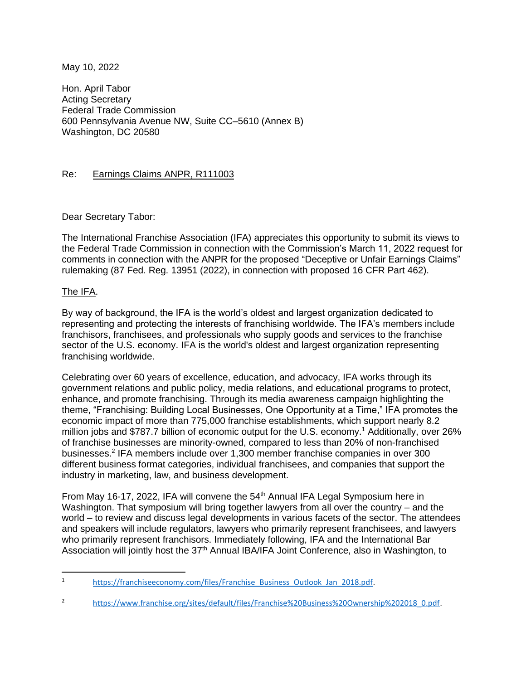May 10, 2022

Hon. April Tabor Acting Secretary Federal Trade Commission 600 Pennsylvania Avenue NW, Suite CC–5610 (Annex B) Washington, DC 20580

# Re: Earnings Claims ANPR, R111003

Dear Secretary Tabor:

The International Franchise Association (IFA) appreciates this opportunity to submit its views to the Federal Trade Commission in connection with the Commission's March 11, 2022 request for comments in connection with the ANPR for the proposed "Deceptive or Unfair Earnings Claims" rulemaking (87 Fed. Reg. 13951 (2022), in connection with proposed 16 CFR Part 462).

## The IFA.

By way of background, the IFA is the world's oldest and largest organization dedicated to representing and protecting the interests of franchising worldwide. The IFA's members include franchisors, franchisees, and professionals who supply goods and services to the franchise sector of the U.S. economy. IFA is the world's oldest and largest organization representing franchising worldwide.

Celebrating over 60 years of excellence, education, and advocacy, IFA works through its government relations and public policy, media relations, and educational programs to protect, enhance, and promote franchising. Through its media awareness campaign highlighting the theme, "Franchising: Building Local Businesses, One Opportunity at a Time," IFA promotes the economic impact of more than 775,000 franchise establishments, which support nearly 8.2 million jobs and \$787.7 billion of economic output for the U.S. economy.<sup>1</sup> Additionally, over 26% of franchise businesses are minority-owned, compared to less than 20% of non-franchised businesses.<sup>2</sup> IFA members include over 1,300 member franchise companies in over 300 different business format categories, individual franchisees, and companies that support the industry in marketing, law, and business development.

From May 16-17, 2022, IFA will convene the 54<sup>th</sup> Annual IFA Legal Symposium here in Washington. That symposium will bring together lawyers from all over the country – and the world – to review and discuss legal developments in various facets of the sector. The attendees and speakers will include regulators, lawyers who primarily represent franchisees, and lawyers who primarily represent franchisors. Immediately following, IFA and the International Bar Association will jointly host the 37<sup>th</sup> Annual IBA/IFA Joint Conference, also in Washington, to

<sup>1</sup> [https://franchiseeconomy.com/files/Franchise\\_Business\\_Outlook\\_Jan\\_2018.pdf.](https://franchiseeconomy.com/files/Franchise_Business_Outlook_Jan_2018.pdf)

<sup>2</sup> [https://www.franchise.org/sites/default/files/Franchise%20Business%20Ownership%202018\\_0.pdf.](https://www.franchise.org/sites/default/files/Franchise%20Business%20Ownership%202018_0.pdf)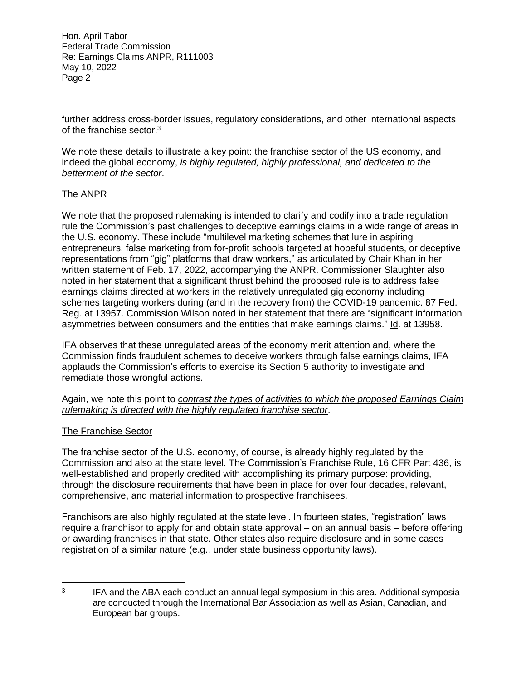Hon. April Tabor Federal Trade Commission Re: Earnings Claims ANPR, R111003 May 10, 2022 Page 2

further address cross-border issues, regulatory considerations, and other international aspects of the franchise sector.<sup>3</sup>

We note these details to illustrate a key point: the franchise sector of the US economy, and indeed the global economy, *is highly regulated, highly professional, and dedicated to the betterment of the sector*.

# The ANPR

We note that the proposed rulemaking is intended to clarify and codify into a trade regulation rule the Commission's past challenges to deceptive earnings claims in a wide range of areas in the U.S. economy. These include "multilevel marketing schemes that lure in aspiring entrepreneurs, false marketing from for-profit schools targeted at hopeful students, or deceptive representations from "gig" platforms that draw workers," as articulated by Chair Khan in her written statement of Feb. 17, 2022, accompanying the ANPR. Commissioner Slaughter also noted in her statement that a significant thrust behind the proposed rule is to address false earnings claims directed at workers in the relatively unregulated gig economy including schemes targeting workers during (and in the recovery from) the COVID-19 pandemic. 87 Fed. Reg. at 13957. Commission Wilson noted in her statement that there are "significant information asymmetries between consumers and the entities that make earnings claims." Id. at 13958.

IFA observes that these unregulated areas of the economy merit attention and, where the Commission finds fraudulent schemes to deceive workers through false earnings claims, IFA applauds the Commission's efforts to exercise its Section 5 authority to investigate and remediate those wrongful actions.

Again, we note this point to *contrast the types of activities to which the proposed Earnings Claim rulemaking is directed with the highly regulated franchise sector*.

## The Franchise Sector

The franchise sector of the U.S. economy, of course, is already highly regulated by the Commission and also at the state level. The Commission's Franchise Rule, 16 CFR Part 436, is well-established and properly credited with accomplishing its primary purpose: providing, through the disclosure requirements that have been in place for over four decades, relevant, comprehensive, and material information to prospective franchisees.

Franchisors are also highly regulated at the state level. In fourteen states, "registration" laws require a franchisor to apply for and obtain state approval – on an annual basis – before offering or awarding franchises in that state. Other states also require disclosure and in some cases registration of a similar nature (e.g., under state business opportunity laws).

<sup>3</sup> IFA and the ABA each conduct an annual legal symposium in this area. Additional symposia are conducted through the International Bar Association as well as Asian, Canadian, and European bar groups.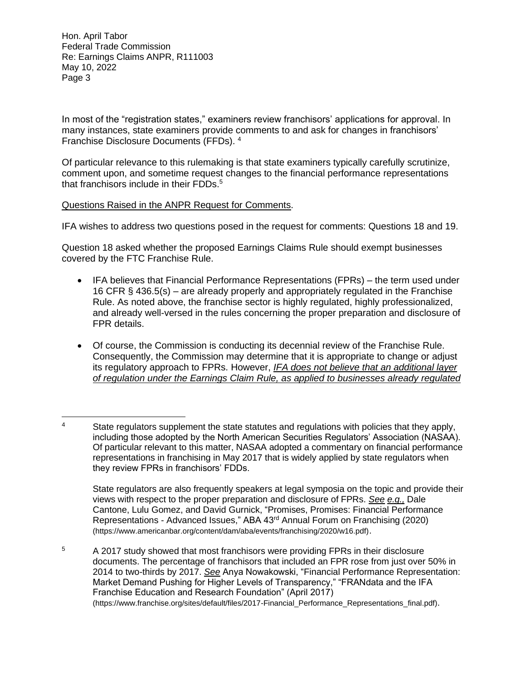Hon. April Tabor Federal Trade Commission Re: Earnings Claims ANPR, R111003 May 10, 2022 Page 3

In most of the "registration states," examiners review franchisors' applications for approval. In many instances, state examiners provide comments to and ask for changes in franchisors' Franchise Disclosure Documents (FFDs). 4

Of particular relevance to this rulemaking is that state examiners typically carefully scrutinize, comment upon, and sometime request changes to the financial performance representations that franchisors include in their  $FDDs<sup>5</sup>$ .

### Questions Raised in the ANPR Request for Comments.

IFA wishes to address two questions posed in the request for comments: Questions 18 and 19.

Question 18 asked whether the proposed Earnings Claims Rule should exempt businesses covered by the FTC Franchise Rule.

- IFA believes that Financial Performance Representations (FPRs) the term used under 16 CFR § 436.5(s) – are already properly and appropriately regulated in the Franchise Rule. As noted above, the franchise sector is highly regulated, highly professionalized, and already well-versed in the rules concerning the proper preparation and disclosure of FPR details.
- Of course, the Commission is conducting its decennial review of the Franchise Rule. Consequently, the Commission may determine that it is appropriate to change or adjust its regulatory approach to FPRs. However, *IFA does not believe that an additional layer of regulation under the Earnings Claim Rule, as applied to businesses already regulated*

State regulators are also frequently speakers at legal symposia on the topic and provide their views with respect to the proper preparation and disclosure of FPRs. *See e.g.,* Dale Cantone, Lulu Gomez, and David Gurnick, "Promises, Promises: Financial Performance Representations - Advanced Issues," ABA 43rd Annual Forum on Franchising (2020) (https://www.americanbar.org/content/dam/aba/events/franchising/2020/w16.pdf).

<sup>5</sup> A 2017 study showed that most franchisors were providing FPRs in their disclosure documents. The percentage of franchisors that included an FPR rose from just over 50% in 2014 to two-thirds by 2017. *See* Anya Nowakowski, "Financial Performance Representation: Market Demand Pushing for Higher Levels of Transparency," "FRANdata and the IFA Franchise Education and Research Foundation" (April 2017) (https://www.franchise.org/sites/default/files/2017-Financial\_Performance\_Representations\_final.pdf).

<sup>&</sup>lt;sup>4</sup> State regulators supplement the state statutes and regulations with policies that they apply, including those adopted by the North American Securities Regulators' Association (NASAA). Of particular relevant to this matter, NASAA adopted a commentary on financial performance representations in franchising in May 2017 that is widely applied by state regulators when they review FPRs in franchisors' FDDs.